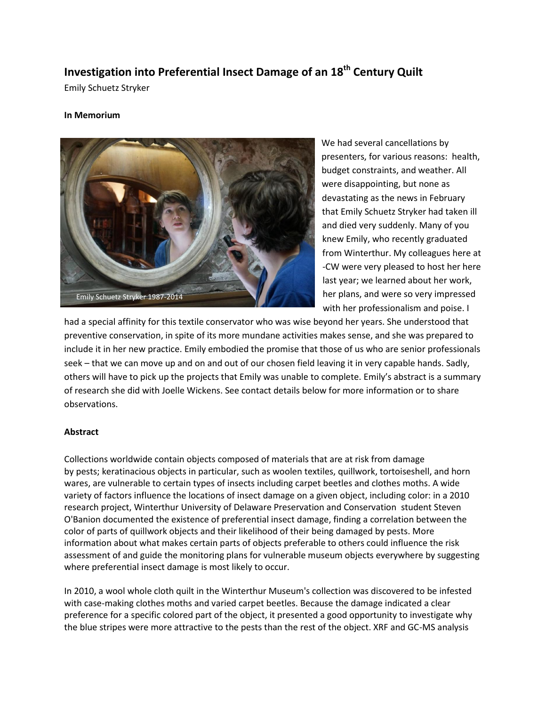## **Investigation into Preferential Insect Damage of an 18th Century Quilt**

Emily Schuetz Stryker

## **In Memorium**



We had several cancellations by presenters, for various reasons: health, budget constraints, and weather. All were disappointing, but none as devastating as the news in February that Emily Schuetz Stryker had taken ill and died very suddenly. Many of you knew Emily, who recently graduated from Winterthur. My colleagues here at -CW were very pleased to host her here last year; we learned about her work, her plans, and were so very impressed with her professionalism and poise. I

had a special affinity for this textile conservator who was wise beyond her years. She understood that preventive conservation, in spite of its more mundane activities makes sense, and she was prepared to include it in her new practice. Emily embodied the promise that those of us who are senior professionals seek – that we can move up and on and out of our chosen field leaving it in very capable hands. Sadly, others will have to pick up the projects that Emily was unable to complete. Emily's abstract is a summary of research she did with Joelle Wickens. See contact details below for more information or to share observations.

## **Abstract**

Collections worldwide contain objects composed of materials that are at risk from damage by pests; keratinacious objects in particular, such as woolen textiles, quillwork, tortoiseshell, and horn wares, are vulnerable to certain types of insects including carpet beetles and clothes moths. A wide variety of factors influence the locations of insect damage on a given object, including color: in a 2010 research project, Winterthur University of Delaware Preservation and Conservation student Steven O'Banion documented the existence of preferential insect damage, finding a correlation between the color of parts of quillwork objects and their likelihood of their being damaged by pests. More information about what makes certain parts of objects preferable to others could influence the risk assessment of and guide the monitoring plans for vulnerable museum objects everywhere by suggesting where preferential insect damage is most likely to occur.

In 2010, a wool whole cloth quilt in the Winterthur Museum's collection was discovered to be infested with case-making clothes moths and varied carpet beetles. Because the damage indicated a clear preference for a specific colored part of the object, it presented a good opportunity to investigate why the blue stripes were more attractive to the pests than the rest of the object. XRF and GC-MS analysis